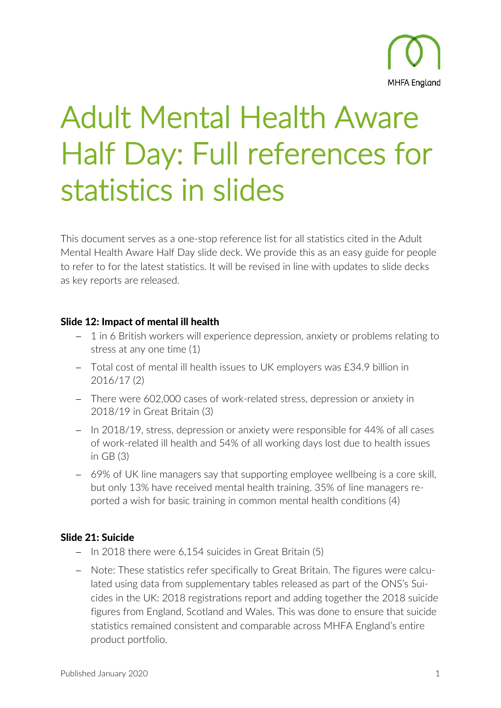

# Adult Mental Health Aware Half Day: Full references for statistics in slides

This document serves as a one-stop reference list for all statistics cited in the Adult Mental Health Aware Half Day slide deck. We provide this as an easy guide for people to refer to for the latest statistics. It will be revised in line with updates to slide decks as key reports are released.

#### Slide 12: Impact of mental ill health

- − 1 in 6 British workers will experience depression, anxiety or problems relating to stress at any one time (1)
- − Total cost of mental ill health issues to UK employers was £34.9 billion in 2016/17 (2)
- − There were 602,000 cases of work-related stress, depression or anxiety in 2018/19 in Great Britain (3)
- − In 2018/19, stress, depression or anxiety were responsible for 44% of all cases of work-related ill health and 54% of all working days lost due to health issues in GB (3)
- − 69% of UK line managers say that supporting employee wellbeing is a core skill, but only 13% have received mental health training. 35% of line managers reported a wish for basic training in common mental health conditions (4)

## Slide 21: Suicide

- − In 2018 there were 6,154 suicides in Great Britain (5)
- − Note: These statistics refer specifically to Great Britain. The figures were calculated using data from supplementary tables released as part of the ONS's Suicides in the UK: 2018 registrations report and adding together the 2018 suicide figures from England, Scotland and Wales. This was done to ensure that suicide statistics remained consistent and comparable across MHFA England's entire product portfolio.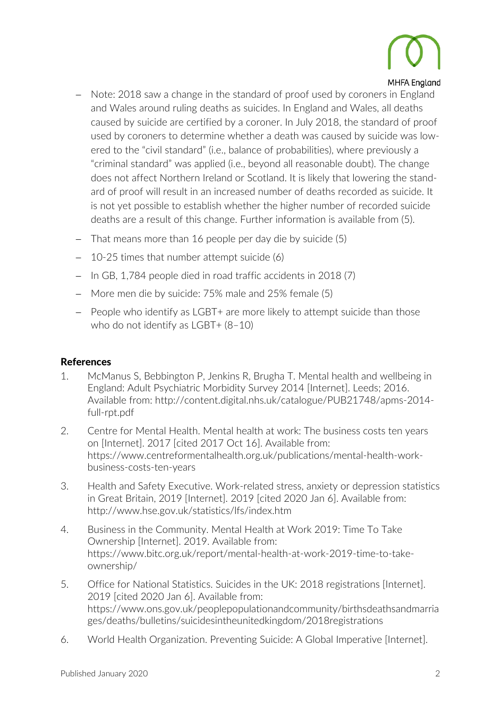

#### **MHFA England**

- − Note: 2018 saw a change in the standard of proof used by coroners in England and Wales around ruling deaths as suicides. In England and Wales, all deaths caused by suicide are certified by a coroner. In July 2018, the standard of proof used by coroners to determine whether a death was caused by suicide was lowered to the "civil standard" (i.e., balance of probabilities), where previously a "criminal standard" was applied (i.e., beyond all reasonable doubt). The change does not affect Northern Ireland or Scotland. It is likely that lowering the standard of proof will result in an increased number of deaths recorded as suicide. It is not yet possible to establish whether the higher number of recorded suicide deaths are a result of this change. Further information is available from (5).
- − That means more than 16 people per day die by suicide (5)
- − 10-25 times that number attempt suicide (6)
- − In GB, 1,784 people died in road traffic accidents in 2018 (7)
- − More men die by suicide: 75% male and 25% female (5)
- − People who identify as LGBT+ are more likely to attempt suicide than those who do not identify as LGBT+ (8–10)

## References

- 1. McManus S, Bebbington P, Jenkins R, Brugha T. Mental health and wellbeing in England: Adult Psychiatric Morbidity Survey 2014 [Internet]. Leeds; 2016. Available from: http://content.digital.nhs.uk/catalogue/PUB21748/apms-2014 full-rpt.pdf
- 2. Centre for Mental Health. Mental health at work: The business costs ten years on [Internet]. 2017 [cited 2017 Oct 16]. Available from: https://www.centreformentalhealth.org.uk/publications/mental-health-workbusiness-costs-ten-years
- 3. Health and Safety Executive. Work-related stress, anxiety or depression statistics in Great Britain, 2019 [Internet]. 2019 [cited 2020 Jan 6]. Available from: http://www.hse.gov.uk/statistics/lfs/index.htm
- 4. Business in the Community. Mental Health at Work 2019: Time To Take Ownership [Internet]. 2019. Available from: https://www.bitc.org.uk/report/mental-health-at-work-2019-time-to-takeownership/
- 5. Office for National Statistics. Suicides in the UK: 2018 registrations [Internet]. 2019 [cited 2020 Jan 6]. Available from: https://www.ons.gov.uk/peoplepopulationandcommunity/birthsdeathsandmarria ges/deaths/bulletins/suicidesintheunitedkingdom/2018registrations
- 6. World Health Organization. Preventing Suicide: A Global Imperative [Internet].